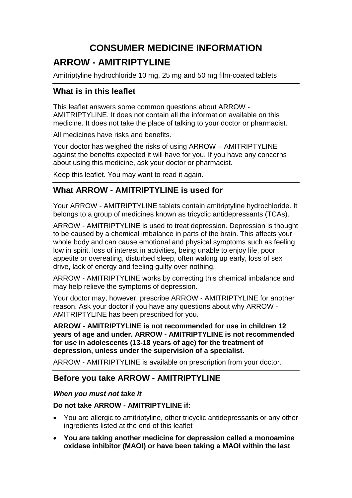# **CONSUMER MEDICINE INFORMATION**

# **ARROW - AMITRIPTYLINE**

Amitriptyline hydrochloride 10 mg, 25 mg and 50 mg film-coated tablets

# **What is in this leaflet**

This leaflet answers some common questions about ARROW - AMITRIPTYLINE. It does not contain all the information available on this medicine. It does not take the place of talking to your doctor or pharmacist.

All medicines have risks and benefits.

Your doctor has weighed the risks of using ARROW – AMITRIPTYLINE against the benefits expected it will have for you. If you have any concerns about using this medicine, ask your doctor or pharmacist.

Keep this leaflet. You may want to read it again.

# **What ARROW - AMITRIPTYLINE is used for**

Your ARROW - AMITRIPTYLINE tablets contain amitriptyline hydrochloride. It belongs to a group of medicines known as tricyclic antidepressants (TCAs).

ARROW - AMITRIPTYLINE is used to treat depression. Depression is thought to be caused by a chemical imbalance in parts of the brain. This affects your whole body and can cause emotional and physical symptoms such as feeling low in spirit, loss of interest in activities, being unable to enjoy life, poor appetite or overeating, disturbed sleep, often waking up early, loss of sex drive, lack of energy and feeling guilty over nothing.

ARROW - AMITRIPTYLINE works by correcting this chemical imbalance and may help relieve the symptoms of depression.

Your doctor may, however, prescribe ARROW - AMITRIPTYLINE for another reason. Ask your doctor if you have any questions about why ARROW - AMITRIPTYLINE has been prescribed for you.

**ARROW - AMITRIPTYLINE is not recommended for use in children 12 years of age and under. ARROW - AMITRIPTYLINE is not recommended for use in adolescents (13-18 years of age) for the treatment of depression, unless under the supervision of a specialist.** 

ARROW - AMITRIPTYLINE is available on prescription from your doctor.

# **Before you take ARROW - AMITRIPTYLINE**

# *When you must not take it*

# **Do not take ARROW - AMITRIPTYLINE if:**

- You are allergic to amitriptyline, other tricyclic antidepressants or any other ingredients listed at the end of this leaflet
- **You are taking another medicine for depression called a monoamine oxidase inhibitor (MAOI) or have been taking a MAOI within the last**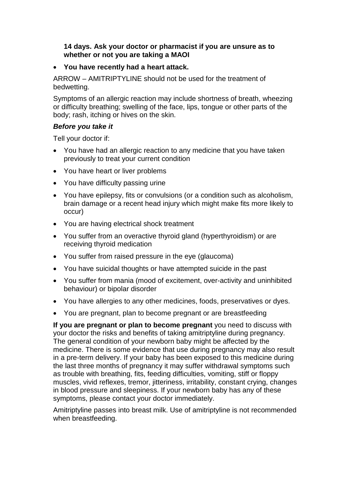#### **14 days. Ask your doctor or pharmacist if you are unsure as to whether or not you are taking a MAOI**

### • **You have recently had a heart attack.**

ARROW – AMITRIPTYLINE should not be used for the treatment of bedwetting.

Symptoms of an allergic reaction may include shortness of breath, wheezing or difficulty breathing; swelling of the face, lips, tongue or other parts of the body; rash, itching or hives on the skin.

### *Before you take it*

Tell your doctor if:

- You have had an allergic reaction to any medicine that you have taken previously to treat your current condition
- You have heart or liver problems
- You have difficulty passing urine
- You have epilepsy, fits or convulsions (or a condition such as alcoholism, brain damage or a recent head injury which might make fits more likely to occur)
- You are having electrical shock treatment
- You suffer from an overactive thyroid gland (hyperthyroidism) or are receiving thyroid medication
- You suffer from raised pressure in the eye (glaucoma)
- You have suicidal thoughts or have attempted suicide in the past
- You suffer from mania (mood of excitement, over-activity and uninhibited behaviour) or bipolar disorder
- You have allergies to any other medicines, foods, preservatives or dyes.
- You are pregnant, plan to become pregnant or are breastfeeding

**If you are pregnant or plan to become pregnant** you need to discuss with your doctor the risks and benefits of taking amitriptyline during pregnancy. The general condition of your newborn baby might be affected by the medicine. There is some evidence that use during pregnancy may also result in a pre-term delivery. If your baby has been exposed to this medicine during the last three months of pregnancy it may suffer withdrawal symptoms such as trouble with breathing, fits, feeding difficulties, vomiting, stiff or floppy muscles, vivid reflexes, tremor, jitteriness, irritability, constant crying, changes in blood pressure and sleepiness. If your newborn baby has any of these symptoms, please contact your doctor immediately.

Amitriptyline passes into breast milk. Use of amitriptyline is not recommended when breastfeeding.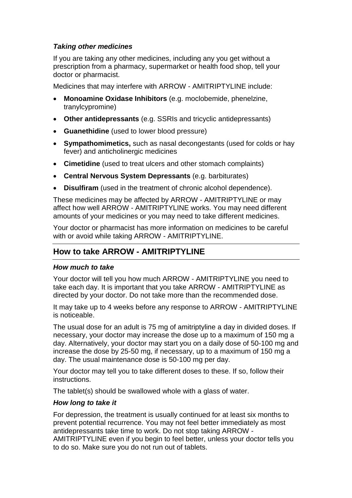# *Taking other medicines*

If you are taking any other medicines, including any you get without a prescription from a pharmacy, supermarket or health food shop, tell your doctor or pharmacist.

Medicines that may interfere with ARROW - AMITRIPTYLINE include:

- **Monoamine Oxidase Inhibitors** (e.g. moclobemide, phenelzine, tranylcypromine)
- **Other antidepressants** (e.g. SSRIs and tricyclic antidepressants)
- **Guanethidine** (used to lower blood pressure)
- **Sympathomimetics,** such as nasal decongestants (used for colds or hay fever) and anticholinergic medicines
- **Cimetidine** (used to treat ulcers and other stomach complaints)
- **Central Nervous System Depressants** (e.g. barbiturates)
- **Disulfiram** (used in the treatment of chronic alcohol dependence).

These medicines may be affected by ARROW - AMITRIPTYLINE or may affect how well ARROW - AMITRIPTYLINE works. You may need different amounts of your medicines or you may need to take different medicines.

Your doctor or pharmacist has more information on medicines to be careful with or avoid while taking ARROW - AMITRIPTYLINE.

# **How to take ARROW - AMITRIPTYLINE**

#### *How much to take*

Your doctor will tell you how much ARROW - AMITRIPTYLINE you need to take each day. It is important that you take ARROW - AMITRIPTYLINE as directed by your doctor. Do not take more than the recommended dose.

It may take up to 4 weeks before any response to ARROW - AMITRIPTYLINE is noticeable.

The usual dose for an adult is 75 mg of amitriptyline a day in divided doses. If necessary, your doctor may increase the dose up to a maximum of 150 mg a day. Alternatively, your doctor may start you on a daily dose of 50-100 mg and increase the dose by 25-50 mg, if necessary, up to a maximum of 150 mg a day. The usual maintenance dose is 50-100 mg per day.

Your doctor may tell you to take different doses to these. If so, follow their instructions.

The tablet(s) should be swallowed whole with a glass of water.

#### *How long to take it*

For depression, the treatment is usually continued for at least six months to prevent potential recurrence. You may not feel better immediately as most antidepressants take time to work. Do not stop taking ARROW -

AMITRIPTYLINE even if you begin to feel better, unless your doctor tells you to do so. Make sure you do not run out of tablets.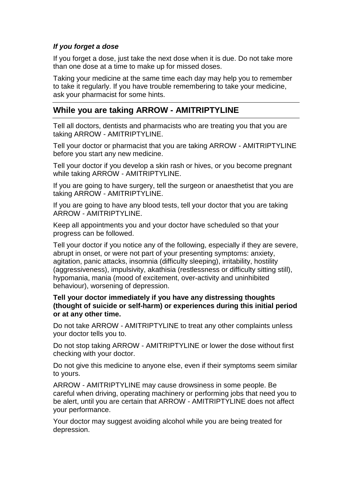### *If you forget a dose*

If you forget a dose, just take the next dose when it is due. Do not take more than one dose at a time to make up for missed doses.

Taking your medicine at the same time each day may help you to remember to take it regularly. If you have trouble remembering to take your medicine, ask your pharmacist for some hints.

# **While you are taking ARROW - AMITRIPTYLINE**

Tell all doctors, dentists and pharmacists who are treating you that you are taking ARROW - AMITRIPTYLINE.

Tell your doctor or pharmacist that you are taking ARROW - AMITRIPTYLINE before you start any new medicine.

Tell your doctor if you develop a skin rash or hives, or you become pregnant while taking ARROW - AMITRIPTYLINE.

If you are going to have surgery, tell the surgeon or anaesthetist that you are taking ARROW - AMITRIPTYLINE.

If you are going to have any blood tests, tell your doctor that you are taking ARROW - AMITRIPTYLINE.

Keep all appointments you and your doctor have scheduled so that your progress can be followed.

Tell your doctor if you notice any of the following, especially if they are severe, abrupt in onset, or were not part of your presenting symptoms: anxiety, agitation, panic attacks, insomnia (difficulty sleeping), irritability, hostility (aggressiveness), impulsivity, akathisia (restlessness or difficulty sitting still), hypomania, mania (mood of excitement, over-activity and uninhibited behaviour), worsening of depression.

**Tell your doctor immediately if you have any distressing thoughts (thought of suicide or self-harm) or experiences during this initial period or at any other time.** 

Do not take ARROW - AMITRIPTYLINE to treat any other complaints unless your doctor tells you to.

Do not stop taking ARROW - AMITRIPTYLINE or lower the dose without first checking with your doctor.

Do not give this medicine to anyone else, even if their symptoms seem similar to yours.

ARROW - AMITRIPTYLINE may cause drowsiness in some people. Be careful when driving, operating machinery or performing jobs that need you to be alert, until you are certain that ARROW - AMITRIPTYLINE does not affect your performance.

Your doctor may suggest avoiding alcohol while you are being treated for depression.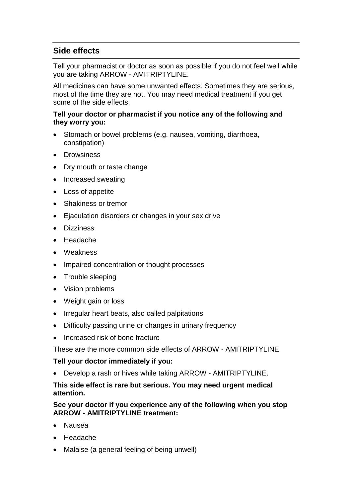# **Side effects**

Tell your pharmacist or doctor as soon as possible if you do not feel well while you are taking ARROW - AMITRIPTYLINE.

All medicines can have some unwanted effects. Sometimes they are serious, most of the time they are not. You may need medical treatment if you get some of the side effects.

#### **Tell your doctor or pharmacist if you notice any of the following and they worry you:**

- Stomach or bowel problems (e.g. nausea, vomiting, diarrhoea, constipation)
- Drowsiness
- Dry mouth or taste change
- Increased sweating
- Loss of appetite
- Shakiness or tremor
- Ejaculation disorders or changes in your sex drive
- Dizziness
- Headache
- Weakness
- Impaired concentration or thought processes
- Trouble sleeping
- Vision problems
- Weight gain or loss
- Irregular heart beats, also called palpitations
- Difficulty passing urine or changes in urinary frequency
- Increased risk of bone fracture

These are the more common side effects of ARROW - AMITRIPTYLINE.

#### **Tell your doctor immediately if you:**

• Develop a rash or hives while taking ARROW - AMITRIPTYLINE.

#### **This side effect is rare but serious. You may need urgent medical attention.**

#### **See your doctor if you experience any of the following when you stop ARROW - AMITRIPTYLINE treatment:**

- Nausea
- Headache
- Malaise (a general feeling of being unwell)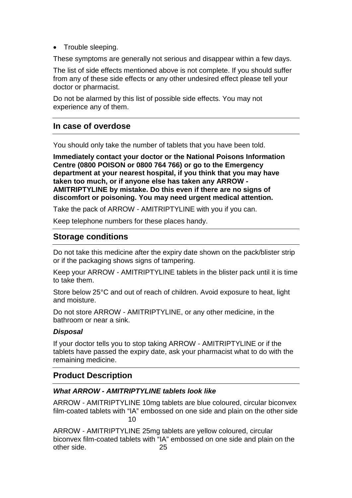• Trouble sleeping.

These symptoms are generally not serious and disappear within a few days.

The list of side effects mentioned above is not complete. If you should suffer from any of these side effects or any other undesired effect please tell your doctor or pharmacist.

Do not be alarmed by this list of possible side effects. You may not experience any of them.

# **In case of overdose**

You should only take the number of tablets that you have been told.

**Immediately contact your doctor or the National Poisons Information Centre (0800 POISON or 0800 764 766) or go to the Emergency department at your nearest hospital, if you think that you may have taken too much, or if anyone else has taken any ARROW - AMITRIPTYLINE by mistake. Do this even if there are no signs of discomfort or poisoning. You may need urgent medical attention.** 

Take the pack of ARROW - AMITRIPTYLINE with you if you can.

Keep telephone numbers for these places handy.

# **Storage conditions**

Do not take this medicine after the expiry date shown on the pack/blister strip or if the packaging shows signs of tampering.

Keep your ARROW - AMITRIPTYLINE tablets in the blister pack until it is time to take them.

Store below 25°C and out of reach of children. Avoid exposure to heat, light and moisture.

Do not store ARROW - AMITRIPTYLINE, or any other medicine, in the bathroom or near a sink.

#### *Disposal*

If your doctor tells you to stop taking ARROW - AMITRIPTYLINE or if the tablets have passed the expiry date, ask your pharmacist what to do with the remaining medicine.

# **Product Description**

# *What ARROW - AMITRIPTYLINE tablets look like*

ARROW - AMITRIPTYLINE 10mg tablets are blue coloured, circular biconvex film-coated tablets with "IA" embossed on one side and plain on the other side  $10<sub>10</sub>$ 

ARROW - AMITRIPTYLINE 25mg tablets are yellow coloured, circular biconvex film-coated tablets with "IA" embossed on one side and plain on the other side. 25